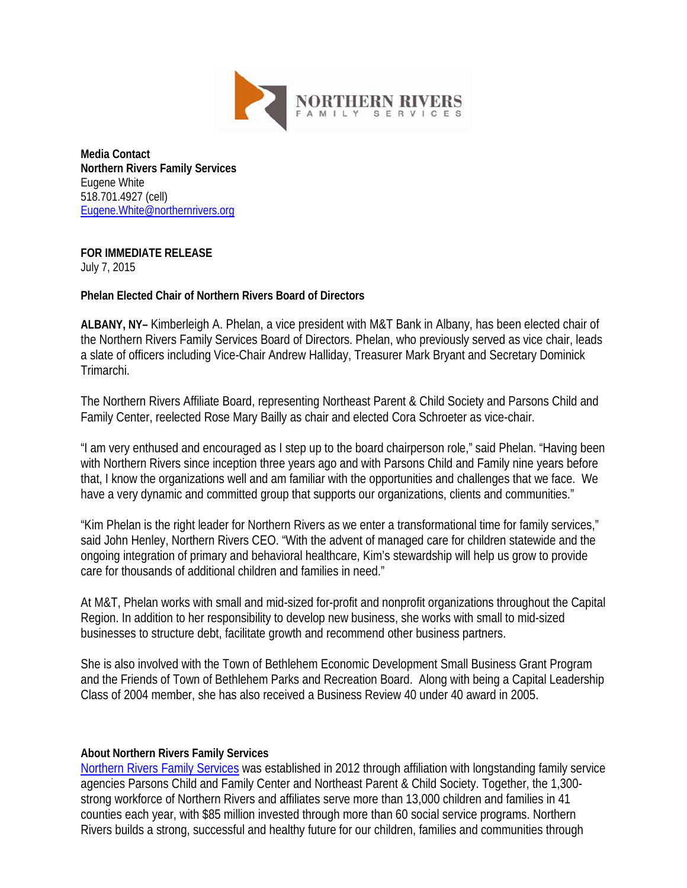

**Media Contact Northern Rivers Family Services** Eugene White 518.701.4927 (cell) [Eugene.White@northernrivers.org](mailto:Eugene.White@northernrivers.org)

## **FOR IMMEDIATE RELEASE**

July 7, 2015

## **Phelan Elected Chair of Northern Rivers Board of Directors**

**ALBANY, NY–** Kimberleigh A. Phelan, a vice president with M&T Bank in Albany, has been elected chair of the Northern Rivers Family Services Board of Directors. Phelan, who previously served as vice chair, leads a slate of officers including Vice-Chair Andrew Halliday, Treasurer Mark Bryant and Secretary Dominick Trimarchi.

The Northern Rivers Affiliate Board, representing Northeast Parent & Child Society and Parsons Child and Family Center, reelected Rose Mary Bailly as chair and elected Cora Schroeter as vice-chair.

"I am very enthused and encouraged as I step up to the board chairperson role," said Phelan. "Having been with Northern Rivers since inception three years ago and with Parsons Child and Family nine years before that, I know the organizations well and am familiar with the opportunities and challenges that we face. We have a very dynamic and committed group that supports our organizations, clients and communities."

"Kim Phelan is the right leader for Northern Rivers as we enter a transformational time for family services," said John Henley, Northern Rivers CEO. "With the advent of managed care for children statewide and the ongoing integration of primary and behavioral healthcare, Kim's stewardship will help us grow to provide care for thousands of additional children and families in need."

At M&T, Phelan works with small and mid-sized for-profit and nonprofit organizations throughout the Capital Region. In addition to her responsibility to develop new business, she works with small to mid-sized businesses to structure debt, facilitate growth and recommend other business partners.

She is also involved with the Town of Bethlehem Economic Development Small Business Grant Program and the Friends of Town of Bethlehem Parks and Recreation Board. Along with being a Capital Leadership Class of 2004 member, she has also received a Business Review 40 under 40 award in 2005.

## **About Northern Rivers Family Services**

[Northern Rivers Family Services](http://www.northernrivers.org/) was established in 2012 through affiliation with longstanding family service agencies Parsons Child and Family Center and Northeast Parent & Child Society. Together, the 1,300 strong workforce of Northern Rivers and affiliates serve more than 13,000 children and families in 41 counties each year, with \$85 million invested through more than 60 social service programs. Northern Rivers builds a strong, successful and healthy future for our children, families and communities through